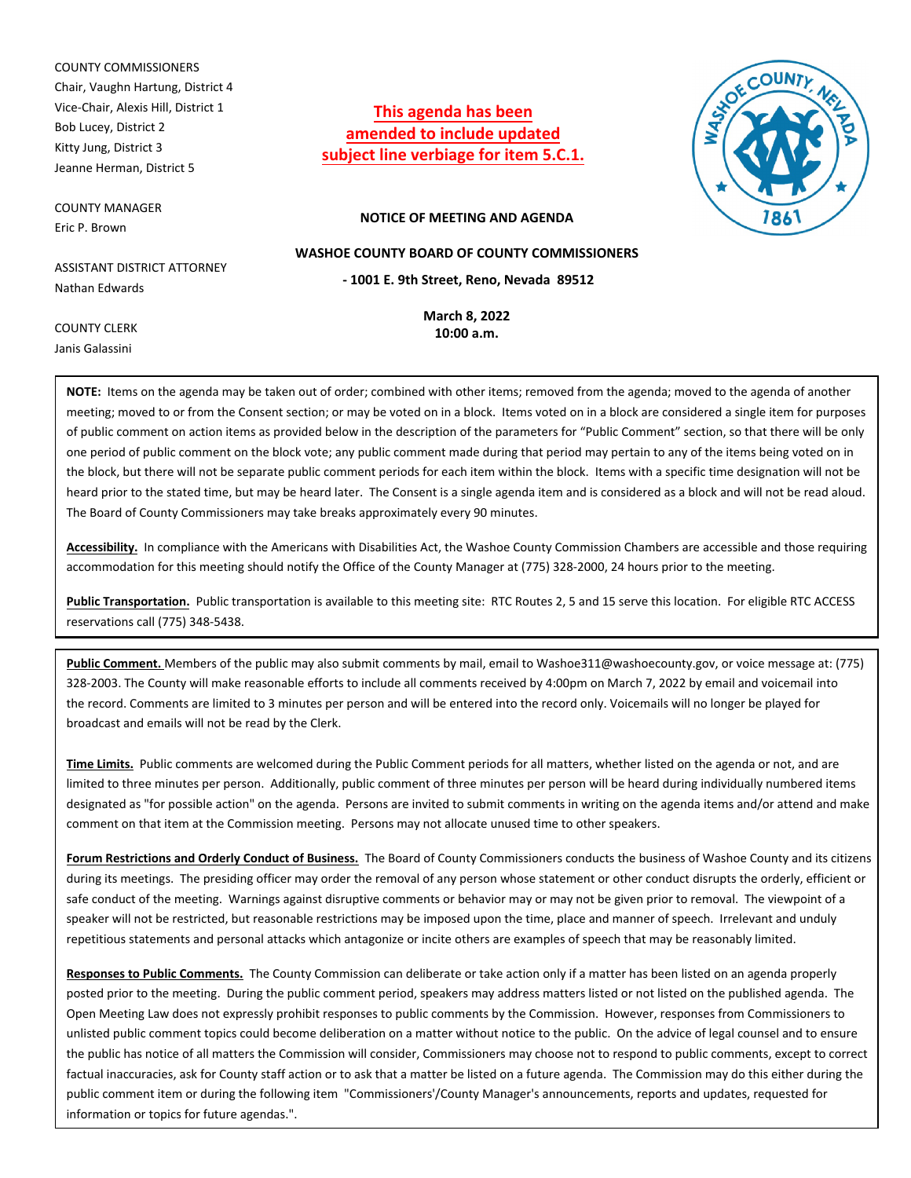COUNTY COMMISSIONERS Chair, Vaughn Hartung, District 4 Vice-Chair, Alexis Hill, District 1 Bob Lucey, District 2 Kitty Jung, District 3 Jeanne Herman, District 5

COUNTY MANAGER Eric P. Brown

ASSISTANT DISTRICT ATTORNEY Nathan Edwards

**This agenda has been amended to include updated subject line verbiage for item 5.C.1.**



### **NOTICE OF MEETING AND AGENDA**

**WASHOE COUNTY BOARD OF COUNTY COMMISSIONERS**

**- 1001 E. 9th Street, Reno, Nevada 89512**

**March 8, 2022 10:00 a.m.**

COUNTY CLERK Janis Galassini

**NOTE:** Items on the agenda may be taken out of order; combined with other items; removed from the agenda; moved to the agenda of another meeting; moved to or from the Consent section; or may be voted on in a block. Items voted on in a block are considered a single item for purposes of public comment on action items as provided below in the description of the parameters for "Public Comment" section, so that there will be only one period of public comment on the block vote; any public comment made during that period may pertain to any of the items being voted on in the block, but there will not be separate public comment periods for each item within the block. Items with a specific time designation will not be heard prior to the stated time, but may be heard later. The Consent is a single agenda item and is considered as a block and will not be read aloud. The Board of County Commissioners may take breaks approximately every 90 minutes.

**Accessibility.** In compliance with the Americans with Disabilities Act, the Washoe County Commission Chambers are accessible and those requiring accommodation for this meeting should notify the Office of the County Manager at (775) 328-2000, 24 hours prior to the meeting.

**Public Transportation.** Public transportation is available to this meeting site: RTC Routes 2, 5 and 15 serve this location. For eligible RTC ACCESS reservations call (775) 348-5438.

**Public Comment.** Members of the public may also submit comments by mail, email to Washoe311@washoecounty.gov, or voice message at: (775) 328-2003. The County will make reasonable efforts to include all comments received by 4:00pm on March 7, 2022 by email and voicemail into the record. Comments are limited to 3 minutes per person and will be entered into the record only. Voicemails will no longer be played for broadcast and emails will not be read by the Clerk.

**Time Limits.** Public comments are welcomed during the Public Comment periods for all matters, whether listed on the agenda or not, and are limited to three minutes per person. Additionally, public comment of three minutes per person will be heard during individually numbered items designated as "for possible action" on the agenda. Persons are invited to submit comments in writing on the agenda items and/or attend and make comment on that item at the Commission meeting. Persons may not allocate unused time to other speakers.

**Forum Restrictions and Orderly Conduct of Business.** The Board of County Commissioners conducts the business of Washoe County and its citizens during its meetings. The presiding officer may order the removal of any person whose statement or other conduct disrupts the orderly, efficient or safe conduct of the meeting. Warnings against disruptive comments or behavior may or may not be given prior to removal. The viewpoint of a speaker will not be restricted, but reasonable restrictions may be imposed upon the time, place and manner of speech. Irrelevant and unduly repetitious statements and personal attacks which antagonize or incite others are examples of speech that may be reasonably limited.

**Responses to Public Comments.** The County Commission can deliberate or take action only if a matter has been listed on an agenda properly posted prior to the meeting. During the public comment period, speakers may address matters listed or not listed on the published agenda. The Open Meeting Law does not expressly prohibit responses to public comments by the Commission. However, responses from Commissioners to unlisted public comment topics could become deliberation on a matter without notice to the public. On the advice of legal counsel and to ensure the public has notice of all matters the Commission will consider, Commissioners may choose not to respond to public comments, except to correct factual inaccuracies, ask for County staff action or to ask that a matter be listed on a future agenda. The Commission may do this either during the public comment item or during the following item "Commissioners'/County Manager's announcements, reports and updates, requested for information or topics for future agendas.".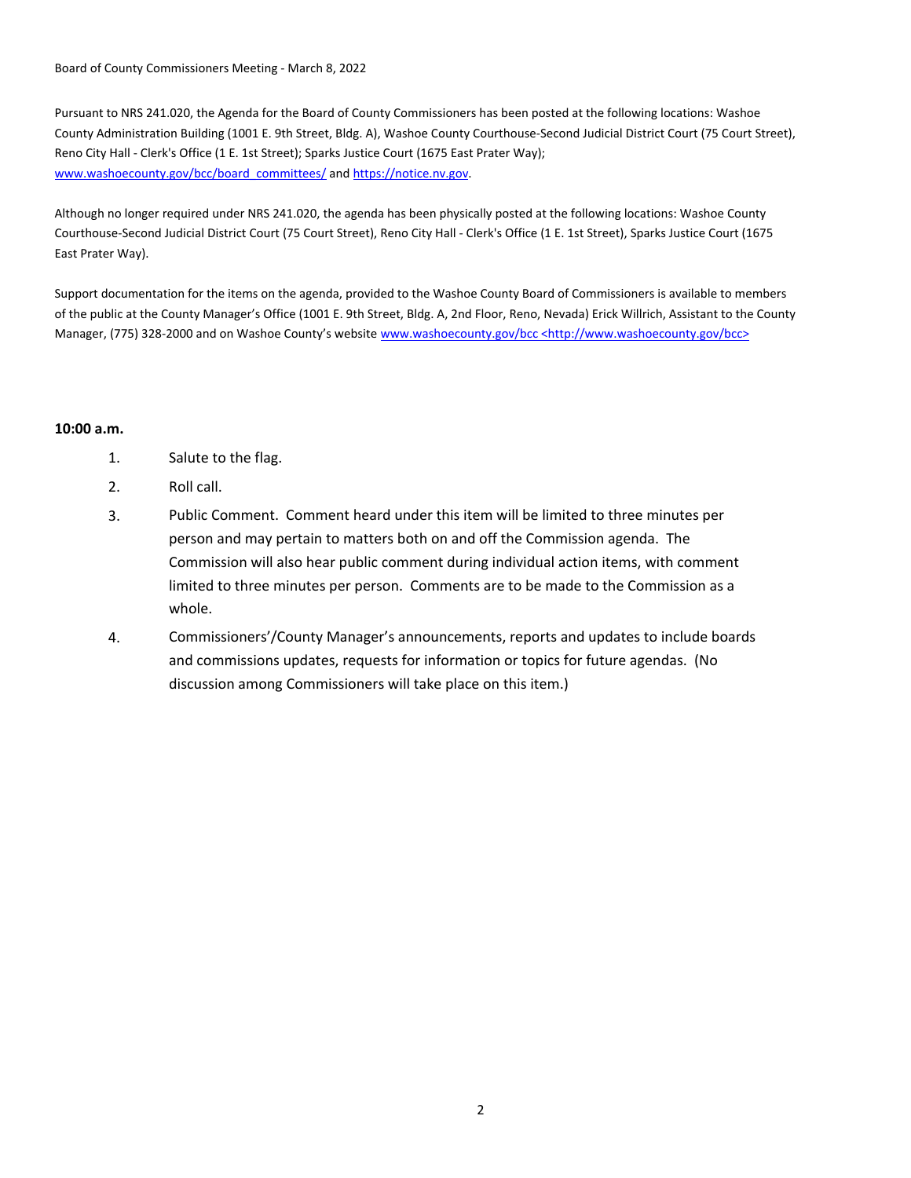Board of County Commissioners Meeting - March 8, 2022

Pursuant to NRS 241.020, the Agenda for the Board of County Commissioners has been posted at the following locations: Washoe County Administration Building (1001 E. 9th Street, Bldg. A), Washoe County Courthouse-Second Judicial District Court (75 Court Street), Reno City Hall - Clerk's Office (1 E. 1st Street); Sparks Justice Court (1675 East Prater Way); www.washoecounty.gov/bcc/board\_committees/ and https://notice.nv.gov.

Although no longer required under NRS 241.020, the agenda has been physically posted at the following locations: Washoe County Courthouse-Second Judicial District Court (75 Court Street), Reno City Hall - Clerk's Office (1 E. 1st Street), Sparks Justice Court (1675 East Prater Way).

Support documentation for the items on the agenda, provided to the Washoe County Board of Commissioners is available to members of the public at the County Manager's Office (1001 E. 9th Street, Bldg. A, 2nd Floor, Reno, Nevada) Erick Willrich, Assistant to the County Manager, (775) 328-2000 and on Washoe County's website www.washoecounty.gov/bcc <http://www.washoecounty.gov/bcc>

## **10:00 a.m.**

- 1. Salute to the flag.
- 2. Roll call.
- 3. Public Comment. Comment heard under this item will be limited to three minutes per person and may pertain to matters both on and off the Commission agenda. The Commission will also hear public comment during individual action items, with comment limited to three minutes per person. Comments are to be made to the Commission as a whole.
- 4. Commissioners'/County Manager's announcements, reports and updates to include boards and commissions updates, requests for information or topics for future agendas. (No discussion among Commissioners will take place on this item.)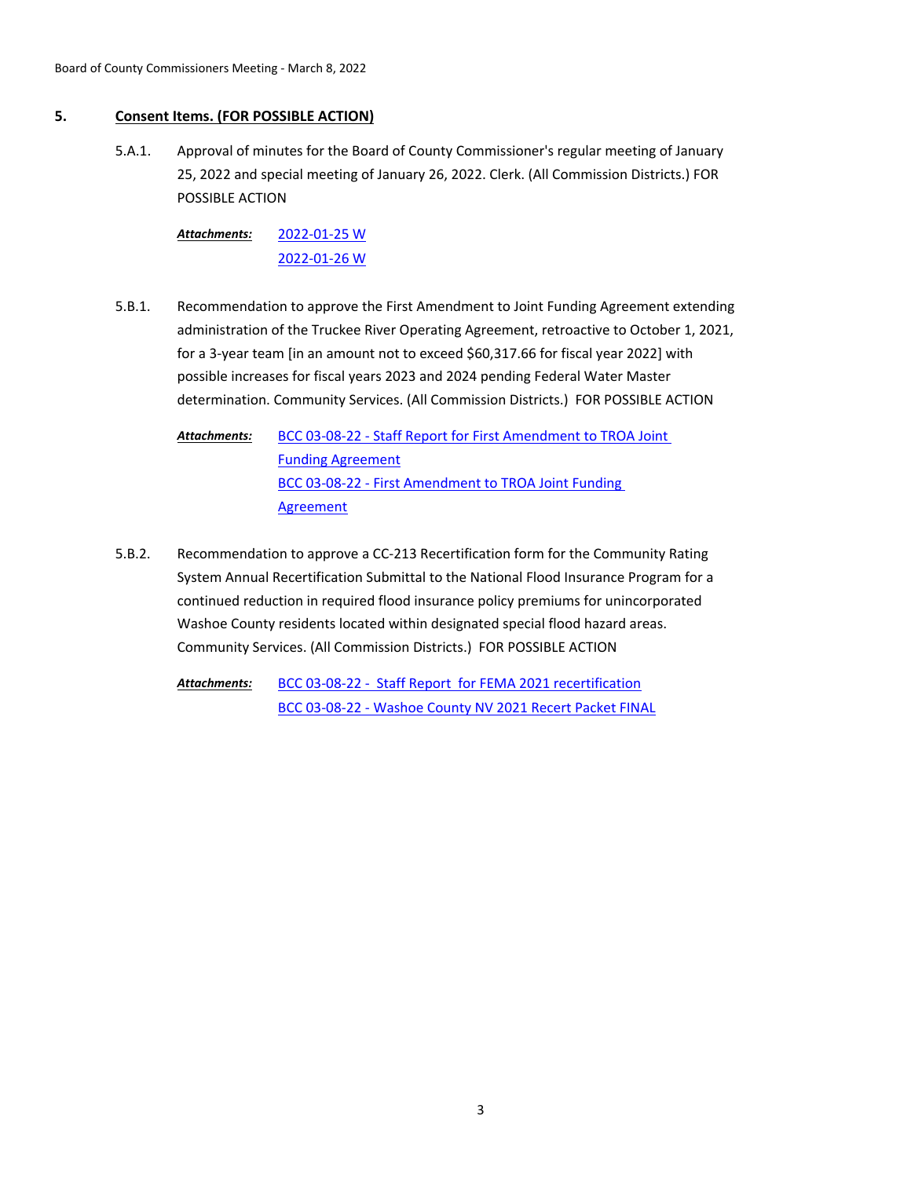# **5. Consent Items. (FOR POSSIBLE ACTION)**

Approval of minutes for the Board of County Commissioner's regular meeting of January 25, 2022 and special meeting of January 26, 2022. Clerk. (All Commission Districts.) FOR POSSIBLE ACTION 5.A.1.

[2022-01-25 W](http://washoe-nv.legistar.com/gateway.aspx?M=F&ID=0f141eb1-0e58-4724-b317-eb04926fa15e.pdf) [2022-01-26 W](http://washoe-nv.legistar.com/gateway.aspx?M=F&ID=b57e395d-a4f6-4643-bddd-1564f2bb60cd.pdf) *Attachments:*

Recommendation to approve the First Amendment to Joint Funding Agreement extending administration of the Truckee River Operating Agreement, retroactive to October 1, 2021, for a 3-year team [in an amount not to exceed \$60,317.66 for fiscal year 2022] with possible increases for fiscal years 2023 and 2024 pending Federal Water Master determination. Community Services. (All Commission Districts.) FOR POSSIBLE ACTION 5.B.1.

[BCC 03-08-22 - Staff Report for First Amendment to TROA Joint](http://washoe-nv.legistar.com/gateway.aspx?M=F&ID=c24ebc9c-1024-4d48-8c2d-98a555dea904.doc)  Funding Agreement [BCC 03-08-22 - First Amendment to TROA Joint Funding](http://washoe-nv.legistar.com/gateway.aspx?M=F&ID=17a83597-4f84-4a3b-aab9-3fe3c5a7d0c2.pdf)  **Agreement** *Attachments:*

Recommendation to approve a CC-213 Recertification form for the Community Rating System Annual Recertification Submittal to the National Flood Insurance Program for a continued reduction in required flood insurance policy premiums for unincorporated Washoe County residents located within designated special flood hazard areas. Community Services. (All Commission Districts.) FOR POSSIBLE ACTION 5.B.2.

> [BCC 03-08-22 - Staff Report for FEMA 2021 recertification](http://washoe-nv.legistar.com/gateway.aspx?M=F&ID=18fa8185-9d6c-4c0a-aa1d-33acccf3c67e.doc) [BCC 03-08-22 - Washoe County NV 2021 Recert Packet FINAL](http://washoe-nv.legistar.com/gateway.aspx?M=F&ID=b99544d4-7eb8-4e2f-8344-62e850a38142.pdf) *Attachments:*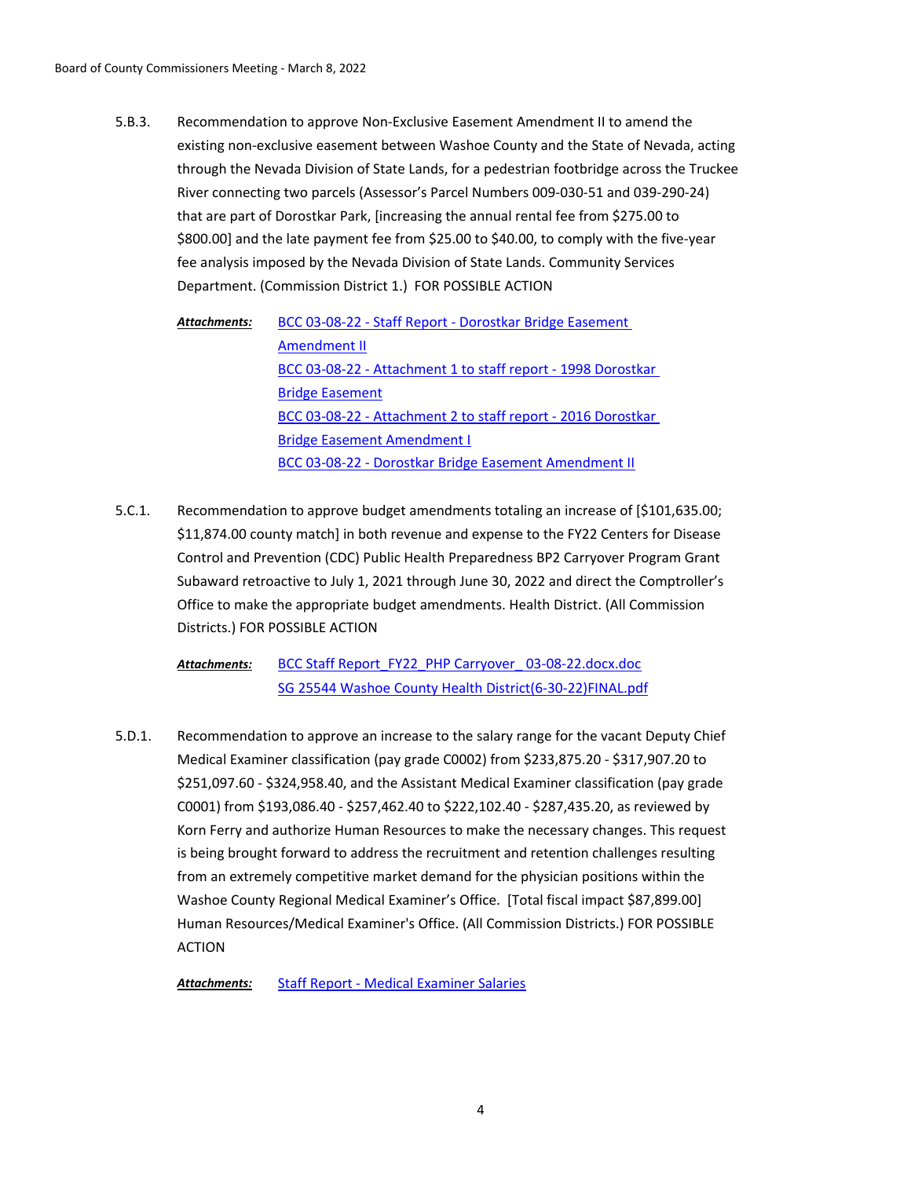Recommendation to approve Non-Exclusive Easement Amendment II to amend the existing non-exclusive easement between Washoe County and the State of Nevada, acting through the Nevada Division of State Lands, for a pedestrian footbridge across the Truckee River connecting two parcels (Assessor's Parcel Numbers 009-030-51 and 039-290-24) that are part of Dorostkar Park, [increasing the annual rental fee from \$275.00 to \$800.00] and the late payment fee from \$25.00 to \$40.00, to comply with the five-year fee analysis imposed by the Nevada Division of State Lands. Community Services Department. (Commission District 1.) FOR POSSIBLE ACTION 5.B.3.

[BCC 03-08-22 - Staff Report - Dorostkar Bridge Easement](http://washoe-nv.legistar.com/gateway.aspx?M=F&ID=e9a94977-8a85-4025-a893-f3284dd0b602.docx)  Amendment II [BCC 03-08-22 - Attachment 1 to staff report - 1998 Dorostkar](http://washoe-nv.legistar.com/gateway.aspx?M=F&ID=e253ce35-be3f-4c4b-9183-3882fadc98d0.pdf)  Bridge Easement [BCC 03-08-22 - Attachment 2 to staff report - 2016 Dorostkar](http://washoe-nv.legistar.com/gateway.aspx?M=F&ID=8eee5fde-6617-4355-9ba0-917486b35f71.pdf)  Bridge Easement Amendment I [BCC 03-08-22 - Dorostkar Bridge Easement Amendment II](http://washoe-nv.legistar.com/gateway.aspx?M=F&ID=52c1d376-7fed-4e30-8f29-6b34c256c7d9.pdf) *Attachments:*

Recommendation to approve budget amendments totaling an increase of [\$101,635.00; \$11,874.00 county match] in both revenue and expense to the FY22 Centers for Disease Control and Prevention (CDC) Public Health Preparedness BP2 Carryover Program Grant Subaward retroactive to July 1, 2021 through June 30, 2022 and direct the Comptroller's Office to make the appropriate budget amendments. Health District. (All Commission Districts.) FOR POSSIBLE ACTION 5.C.1.

BCC Staff Report\_FY22\_PHP Carryover\_03-08-22.docx.doc [SG 25544 Washoe County Health District\(6-30-22\)FINAL.pdf](http://washoe-nv.legistar.com/gateway.aspx?M=F&ID=0da58a50-c6d2-4a5b-84ae-444db0bd7b46.pdf) *Attachments:*

Recommendation to approve an increase to the salary range for the vacant Deputy Chief Medical Examiner classification (pay grade C0002) from \$233,875.20 - \$317,907.20 to \$251,097.60 - \$324,958.40, and the Assistant Medical Examiner classification (pay grade C0001) from \$193,086.40 - \$257,462.40 to \$222,102.40 - \$287,435.20, as reviewed by Korn Ferry and authorize Human Resources to make the necessary changes. This request is being brought forward to address the recruitment and retention challenges resulting from an extremely competitive market demand for the physician positions within the Washoe County Regional Medical Examiner's Office. [Total fiscal impact \$87,899.00] Human Resources/Medical Examiner's Office. (All Commission Districts.) FOR POSSIBLE ACTION 5.D.1.

*Attachments:* [Staff Report - Medical Examiner Salaries](http://washoe-nv.legistar.com/gateway.aspx?M=F&ID=47ac7f55-9567-4ec3-838e-e75df19804cb.docx)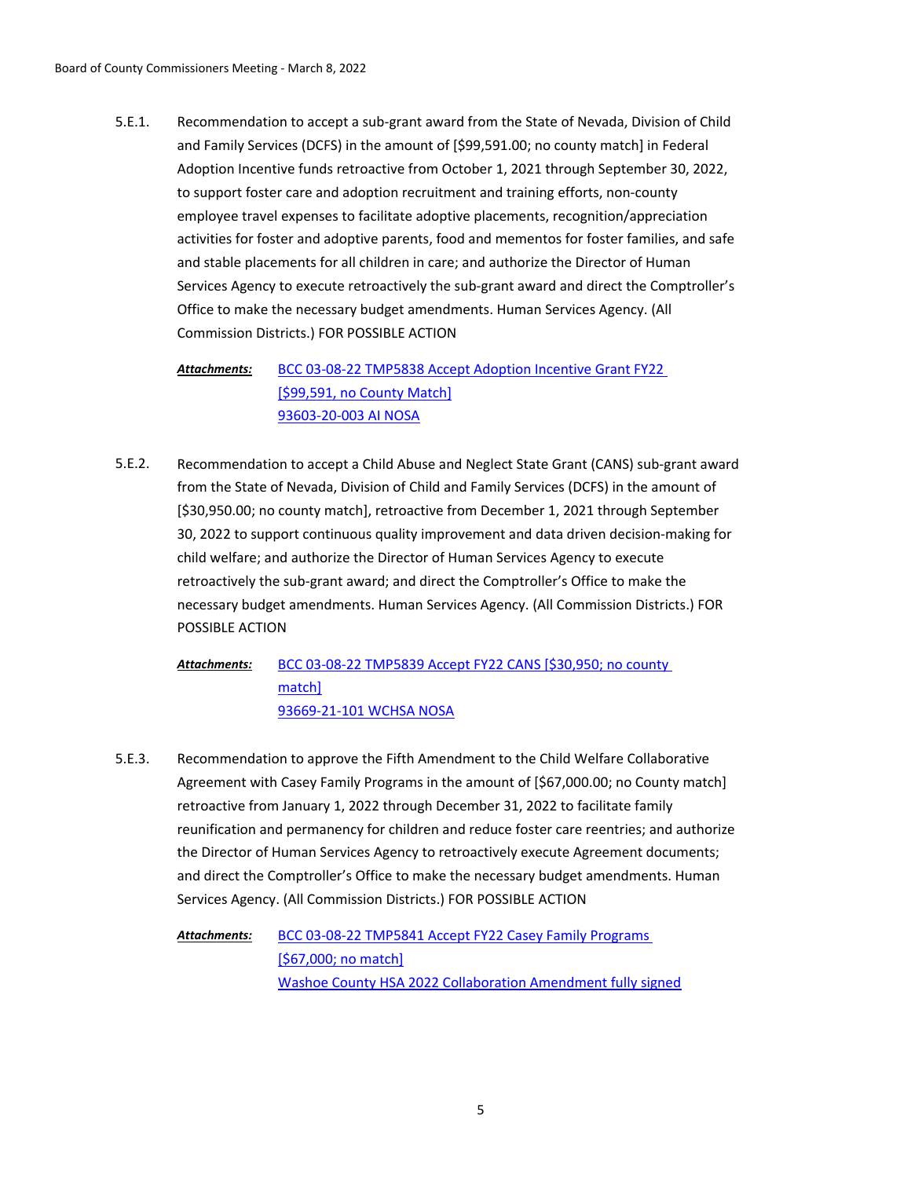Recommendation to accept a sub-grant award from the State of Nevada, Division of Child and Family Services (DCFS) in the amount of [\$99,591.00; no county match] in Federal Adoption Incentive funds retroactive from October 1, 2021 through September 30, 2022, to support foster care and adoption recruitment and training efforts, non-county employee travel expenses to facilitate adoptive placements, recognition/appreciation activities for foster and adoptive parents, food and mementos for foster families, and safe and stable placements for all children in care; and authorize the Director of Human Services Agency to execute retroactively the sub-grant award and direct the Comptroller's Office to make the necessary budget amendments. Human Services Agency. (All Commission Districts.) FOR POSSIBLE ACTION 5.E.1.

[BCC 03-08-22 TMP5838 Accept Adoption Incentive Grant FY22](http://washoe-nv.legistar.com/gateway.aspx?M=F&ID=e682d51e-1f33-499c-8f73-d7b6397323b1.doc)  [\$99,591, no County Match] [93603-20-003 AI NOSA](http://washoe-nv.legistar.com/gateway.aspx?M=F&ID=c35f02ee-4cd6-4759-8073-c25ae9be0da4.pdf) *Attachments:*

Recommendation to accept a Child Abuse and Neglect State Grant (CANS) sub-grant award from the State of Nevada, Division of Child and Family Services (DCFS) in the amount of [\$30,950.00; no county match], retroactive from December 1, 2021 through September 30, 2022 to support continuous quality improvement and data driven decision-making for child welfare; and authorize the Director of Human Services Agency to execute retroactively the sub-grant award; and direct the Comptroller's Office to make the necessary budget amendments. Human Services Agency. (All Commission Districts.) FOR POSSIBLE ACTION 5.E.2.

[BCC 03-08-22 TMP5839 Accept FY22 CANS \[\\$30,950; no county](http://washoe-nv.legistar.com/gateway.aspx?M=F&ID=24463b4d-928c-41b7-a331-8331ae2cb20e.doc)  match] [93669-21-101 WCHSA NOSA](http://washoe-nv.legistar.com/gateway.aspx?M=F&ID=a5ea26d2-7dc1-48f9-b39d-67297406bdd9.pdf) *Attachments:*

Recommendation to approve the Fifth Amendment to the Child Welfare Collaborative Agreement with Casey Family Programs in the amount of [\$67,000.00; no County match] retroactive from January 1, 2022 through December 31, 2022 to facilitate family reunification and permanency for children and reduce foster care reentries; and authorize the Director of Human Services Agency to retroactively execute Agreement documents; and direct the Comptroller's Office to make the necessary budget amendments. Human Services Agency. (All Commission Districts.) FOR POSSIBLE ACTION 5.E.3.

[BCC 03-08-22 TMP5841 Accept FY22 Casey Family Programs](http://washoe-nv.legistar.com/gateway.aspx?M=F&ID=477ad32f-c34c-457c-afe9-b8aaecdade7a.doc)  [\$67,000; no match] [Washoe County HSA 2022 Collaboration Amendment fully signed](http://washoe-nv.legistar.com/gateway.aspx?M=F&ID=72078349-cef5-4936-850b-7bf3712404f7.pdf) *Attachments:*

5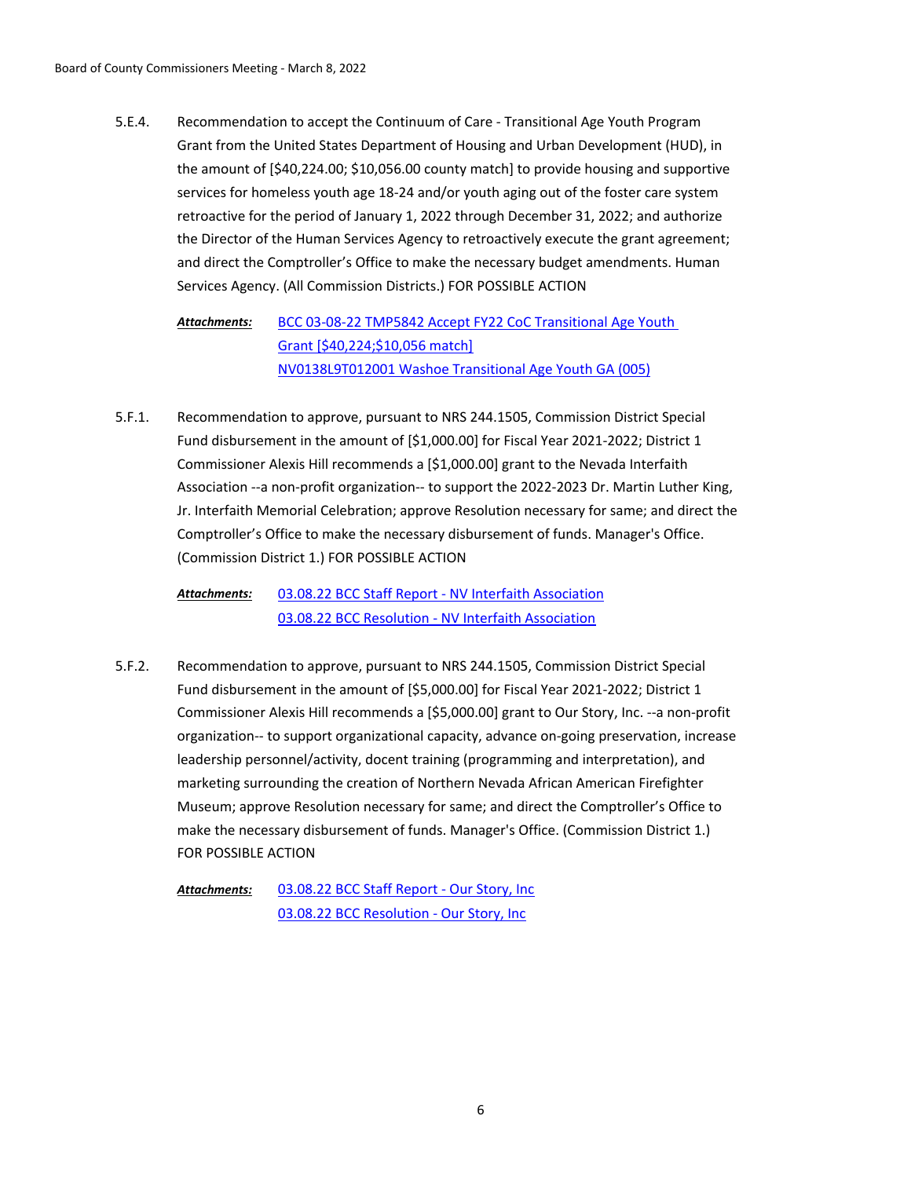Recommendation to accept the Continuum of Care - Transitional Age Youth Program Grant from the United States Department of Housing and Urban Development (HUD), in the amount of [\$40,224.00; \$10,056.00 county match] to provide housing and supportive services for homeless youth age 18-24 and/or youth aging out of the foster care system retroactive for the period of January 1, 2022 through December 31, 2022; and authorize the Director of the Human Services Agency to retroactively execute the grant agreement; and direct the Comptroller's Office to make the necessary budget amendments. Human Services Agency. (All Commission Districts.) FOR POSSIBLE ACTION 5.E.4.

[BCC 03-08-22 TMP5842 Accept FY22 CoC Transitional Age Youth](http://washoe-nv.legistar.com/gateway.aspx?M=F&ID=57c4f5ae-cc84-417c-801a-7b151cebf31f.doc)  Grant [\$40,224;\$10,056 match] [NV0138L9T012001 Washoe Transitional Age Youth GA \(005\)](http://washoe-nv.legistar.com/gateway.aspx?M=F&ID=9e1a28f0-e28f-4be0-855d-8e7b1a04ba64.pdf) *Attachments:*

Recommendation to approve, pursuant to NRS 244.1505, Commission District Special Fund disbursement in the amount of [\$1,000.00] for Fiscal Year 2021-2022; District 1 Commissioner Alexis Hill recommends a [\$1,000.00] grant to the Nevada Interfaith Association --a non-profit organization-- to support the 2022-2023 Dr. Martin Luther King, Jr. Interfaith Memorial Celebration; approve Resolution necessary for same; and direct the Comptroller's Office to make the necessary disbursement of funds. Manager's Office. (Commission District 1.) FOR POSSIBLE ACTION 5.F.1.

[03.08.22 BCC Staff Report - NV Interfaith Association](http://washoe-nv.legistar.com/gateway.aspx?M=F&ID=22cbe8d1-f7eb-4e7a-a3c3-40ea247396ed.docx) [03.08.22 BCC Resolution - NV Interfaith Association](http://washoe-nv.legistar.com/gateway.aspx?M=F&ID=f83707fc-5ee3-4e79-96d9-b07ca0bc9350.docx) *Attachments:*

Recommendation to approve, pursuant to NRS 244.1505, Commission District Special Fund disbursement in the amount of [\$5,000.00] for Fiscal Year 2021-2022; District 1 Commissioner Alexis Hill recommends a [\$5,000.00] grant to Our Story, Inc. --a non-profit organization-- to support organizational capacity, advance on-going preservation, increase leadership personnel/activity, docent training (programming and interpretation), and marketing surrounding the creation of Northern Nevada African American Firefighter Museum; approve Resolution necessary for same; and direct the Comptroller's Office to make the necessary disbursement of funds. Manager's Office. (Commission District 1.) FOR POSSIBLE ACTION 5.F.2.

[03.08.22 BCC Staff Report - Our Story, Inc](http://washoe-nv.legistar.com/gateway.aspx?M=F&ID=e10b5ba5-8a4b-42d2-9a1d-9a7b31f97fb5.pdf) [03.08.22 BCC Resolution - Our Story, Inc](http://washoe-nv.legistar.com/gateway.aspx?M=F&ID=097b7082-4690-46db-bdbc-735dadb8e703.pdf) *Attachments:*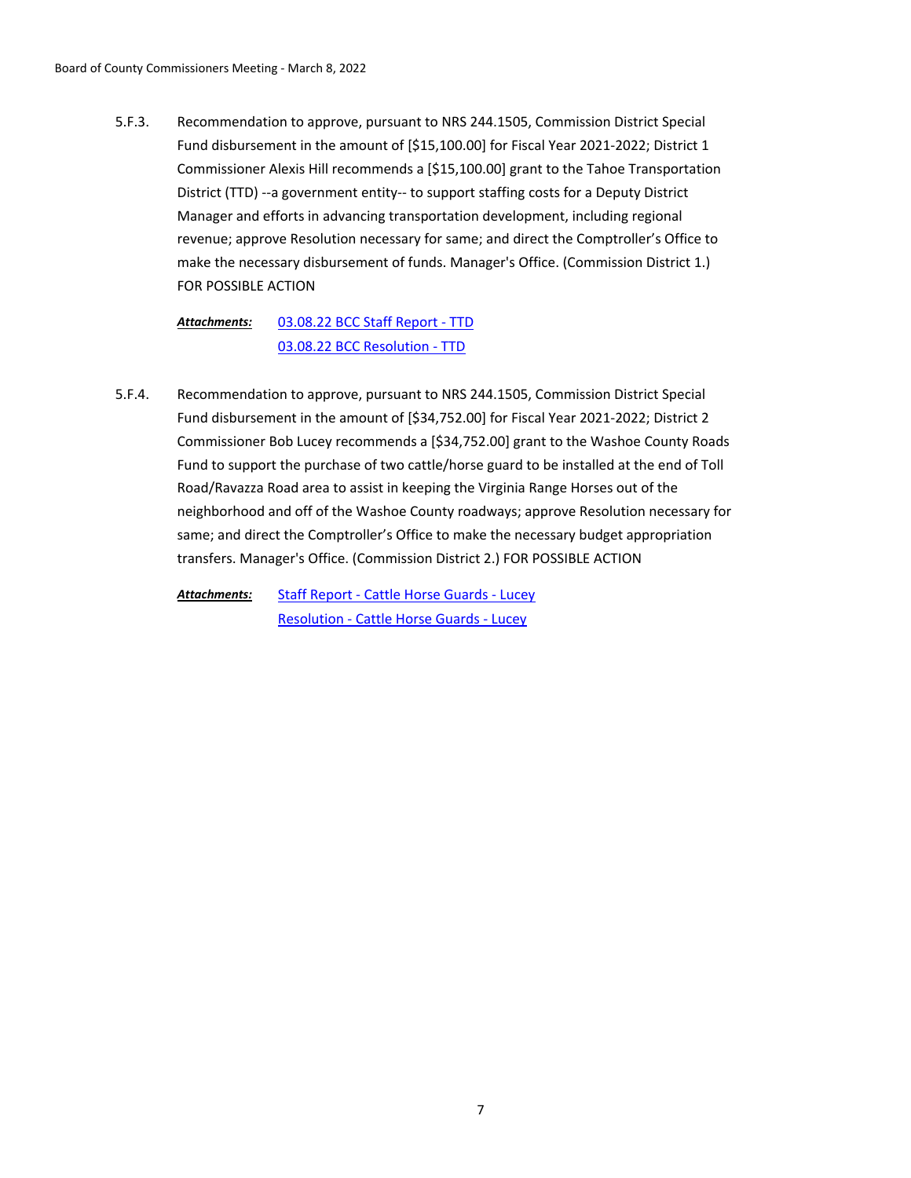Recommendation to approve, pursuant to NRS 244.1505, Commission District Special Fund disbursement in the amount of [\$15,100.00] for Fiscal Year 2021-2022; District 1 Commissioner Alexis Hill recommends a [\$15,100.00] grant to the Tahoe Transportation District (TTD) --a government entity-- to support staffing costs for a Deputy District Manager and efforts in advancing transportation development, including regional revenue; approve Resolution necessary for same; and direct the Comptroller's Office to make the necessary disbursement of funds. Manager's Office. (Commission District 1.) FOR POSSIBLE ACTION 5.F.3.

[03.08.22 BCC Staff Report - TTD](http://washoe-nv.legistar.com/gateway.aspx?M=F&ID=b1094047-77b7-4f1f-8c82-80d9d1fac4f1.pdf) [03.08.22 BCC Resolution - TTD](http://washoe-nv.legistar.com/gateway.aspx?M=F&ID=da4f1b08-39a2-483d-b63d-0870249b644d.pdf) *Attachments:*

Recommendation to approve, pursuant to NRS 244.1505, Commission District Special Fund disbursement in the amount of [\$34,752.00] for Fiscal Year 2021-2022; District 2 Commissioner Bob Lucey recommends a [\$34,752.00] grant to the Washoe County Roads Fund to support the purchase of two cattle/horse guard to be installed at the end of Toll Road/Ravazza Road area to assist in keeping the Virginia Range Horses out of the neighborhood and off of the Washoe County roadways; approve Resolution necessary for same; and direct the Comptroller's Office to make the necessary budget appropriation transfers. Manager's Office. (Commission District 2.) FOR POSSIBLE ACTION 5.F.4.

[Staff Report - Cattle Horse Guards - Lucey](http://washoe-nv.legistar.com/gateway.aspx?M=F&ID=08343079-4791-41c9-906c-3192454ce335.doc) [Resolution - Cattle Horse Guards - Lucey](http://washoe-nv.legistar.com/gateway.aspx?M=F&ID=4d5dd00f-7d99-4703-ac41-186f6739fced.docx) *Attachments:*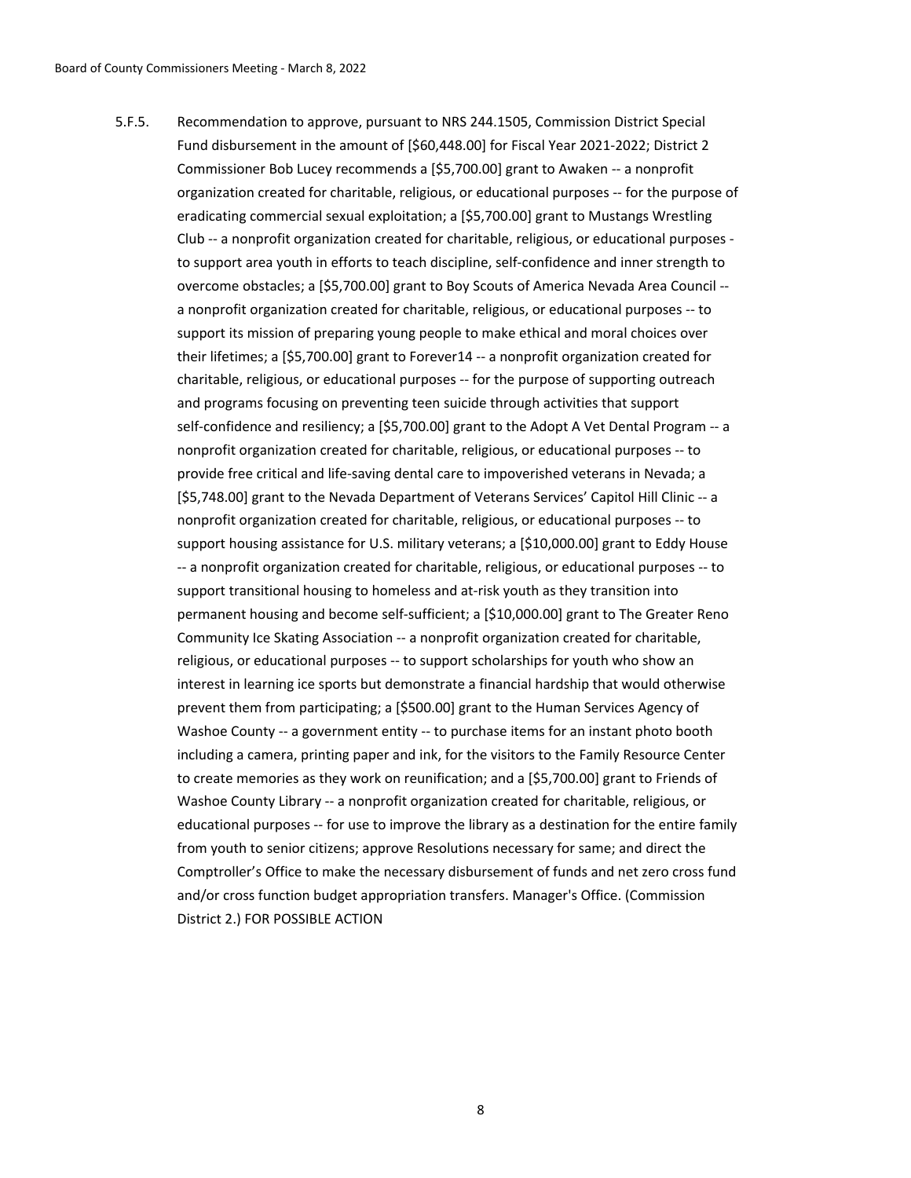Recommendation to approve, pursuant to NRS 244.1505, Commission District Special Fund disbursement in the amount of [\$60,448.00] for Fiscal Year 2021-2022; District 2 Commissioner Bob Lucey recommends a [\$5,700.00] grant to Awaken -- a nonprofit organization created for charitable, religious, or educational purposes -- for the purpose of eradicating commercial sexual exploitation; a [\$5,700.00] grant to Mustangs Wrestling Club -- a nonprofit organization created for charitable, religious, or educational purposes to support area youth in efforts to teach discipline, self-confidence and inner strength to overcome obstacles; a [\$5,700.00] grant to Boy Scouts of America Nevada Area Council - a nonprofit organization created for charitable, religious, or educational purposes -- to support its mission of preparing young people to make ethical and moral choices over their lifetimes; a [\$5,700.00] grant to Forever14 -- a nonprofit organization created for charitable, religious, or educational purposes -- for the purpose of supporting outreach and programs focusing on preventing teen suicide through activities that support self-confidence and resiliency; a [\$5,700.00] grant to the Adopt A Vet Dental Program -- a nonprofit organization created for charitable, religious, or educational purposes -- to provide free critical and life-saving dental care to impoverished veterans in Nevada; a [\$5,748.00] grant to the Nevada Department of Veterans Services' Capitol Hill Clinic -- a nonprofit organization created for charitable, religious, or educational purposes -- to support housing assistance for U.S. military veterans; a [\$10,000.00] grant to Eddy House -- a nonprofit organization created for charitable, religious, or educational purposes -- to support transitional housing to homeless and at-risk youth as they transition into permanent housing and become self-sufficient; a [\$10,000.00] grant to The Greater Reno Community Ice Skating Association -- a nonprofit organization created for charitable, religious, or educational purposes -- to support scholarships for youth who show an interest in learning ice sports but demonstrate a financial hardship that would otherwise prevent them from participating; a [\$500.00] grant to the Human Services Agency of Washoe County -- a government entity -- to purchase items for an instant photo booth including a camera, printing paper and ink, for the visitors to the Family Resource Center to create memories as they work on reunification; and a [\$5,700.00] grant to Friends of Washoe County Library -- a nonprofit organization created for charitable, religious, or educational purposes -- for use to improve the library as a destination for the entire family from youth to senior citizens; approve Resolutions necessary for same; and direct the Comptroller's Office to make the necessary disbursement of funds and net zero cross fund and/or cross function budget appropriation transfers. Manager's Office. (Commission District 2.) FOR POSSIBLE ACTION 5.F.5.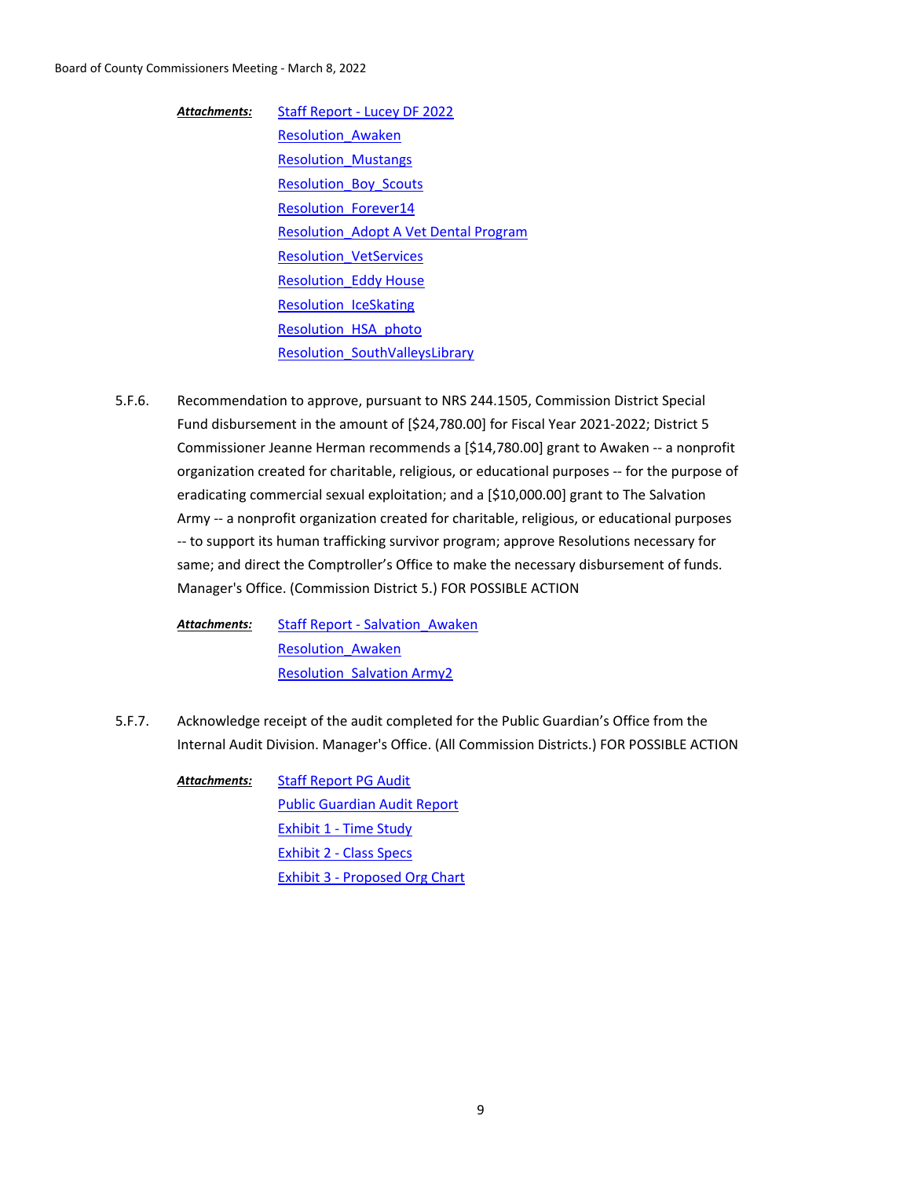# Board of County Commissioners Meeting - March 8, 2022

[Staff Report - Lucey DF 2022](http://washoe-nv.legistar.com/gateway.aspx?M=F&ID=3fd97cc3-0424-4abe-9a24-a3e932071912.docx) [Resolution\\_Awaken](http://washoe-nv.legistar.com/gateway.aspx?M=F&ID=f4df78d1-5aa3-40ac-8811-9318fcb8d107.docx) [Resolution\\_Mustangs](http://washoe-nv.legistar.com/gateway.aspx?M=F&ID=17a9c7e5-2109-4d92-900c-5ed30d49d748.docx) [Resolution\\_Boy\\_Scouts](http://washoe-nv.legistar.com/gateway.aspx?M=F&ID=288f5782-ef80-488d-96ed-bcecc19e01cd.docx) [Resolution\\_Forever14](http://washoe-nv.legistar.com/gateway.aspx?M=F&ID=757c287e-4b5c-4be8-9a3a-069222f24b05.docx) [Resolution\\_Adopt A Vet Dental Program](http://washoe-nv.legistar.com/gateway.aspx?M=F&ID=74404595-9314-48d0-8b7d-09f7c39b7598.docx) [Resolution\\_VetServices](http://washoe-nv.legistar.com/gateway.aspx?M=F&ID=1263ba75-b153-426a-a67d-921eee754a24.docx) **Resolution Eddy House** [Resolution\\_IceSkating](http://washoe-nv.legistar.com/gateway.aspx?M=F&ID=5010c1d2-d155-4886-b958-a7ef6bebedeb.docx) [Resolution\\_HSA\\_photo](http://washoe-nv.legistar.com/gateway.aspx?M=F&ID=76062be3-4386-4217-be7c-05de1033b756.docx) [Resolution\\_SouthValleysLibrary](http://washoe-nv.legistar.com/gateway.aspx?M=F&ID=23bcb8b3-8ae6-4fb3-b85f-1d051d98f9bf.docx) *Attachments:*

Recommendation to approve, pursuant to NRS 244.1505, Commission District Special Fund disbursement in the amount of [\$24,780.00] for Fiscal Year 2021-2022; District 5 Commissioner Jeanne Herman recommends a [\$14,780.00] grant to Awaken -- a nonprofit organization created for charitable, religious, or educational purposes -- for the purpose of eradicating commercial sexual exploitation; and a [\$10,000.00] grant to The Salvation Army -- a nonprofit organization created for charitable, religious, or educational purposes -- to support its human trafficking survivor program; approve Resolutions necessary for same; and direct the Comptroller's Office to make the necessary disbursement of funds. Manager's Office. (Commission District 5.) FOR POSSIBLE ACTION 5.F.6.

[Staff Report - Salvation\\_Awaken](http://washoe-nv.legistar.com/gateway.aspx?M=F&ID=82fa2e3e-c40a-4279-9f64-7ebbfe47dee8.docx) [Resolution\\_Awaken](http://washoe-nv.legistar.com/gateway.aspx?M=F&ID=42fad282-6a43-43b2-9d5c-f104558097a0.docx) Resolution Salvation Army2 *Attachments:*

Acknowledge receipt of the audit completed for the Public Guardian's Office from the Internal Audit Division. Manager's Office. (All Commission Districts.) FOR POSSIBLE ACTION 5.F.7.

[Staff Report PG Audit](http://washoe-nv.legistar.com/gateway.aspx?M=F&ID=af94cb9d-cf4e-4500-a5cb-740c775dbf22.doc) [Public Guardian Audit Report](http://washoe-nv.legistar.com/gateway.aspx?M=F&ID=5f80a5d0-8a16-4a3a-ae70-2ffc8a8adf22.pdf) [Exhibit 1 - Time Study](http://washoe-nv.legistar.com/gateway.aspx?M=F&ID=2bcc67b9-3049-49c7-bf66-4c34f0c413f1.docx) [Exhibit 2 - Class Specs](http://washoe-nv.legistar.com/gateway.aspx?M=F&ID=77e7cb7d-420b-4f66-b96e-d37c8b2a40f6.pdf) [Exhibit 3 - Proposed Org Chart](http://washoe-nv.legistar.com/gateway.aspx?M=F&ID=e5b622b9-003e-4964-a359-dd878f73d8a2.docx) *Attachments:*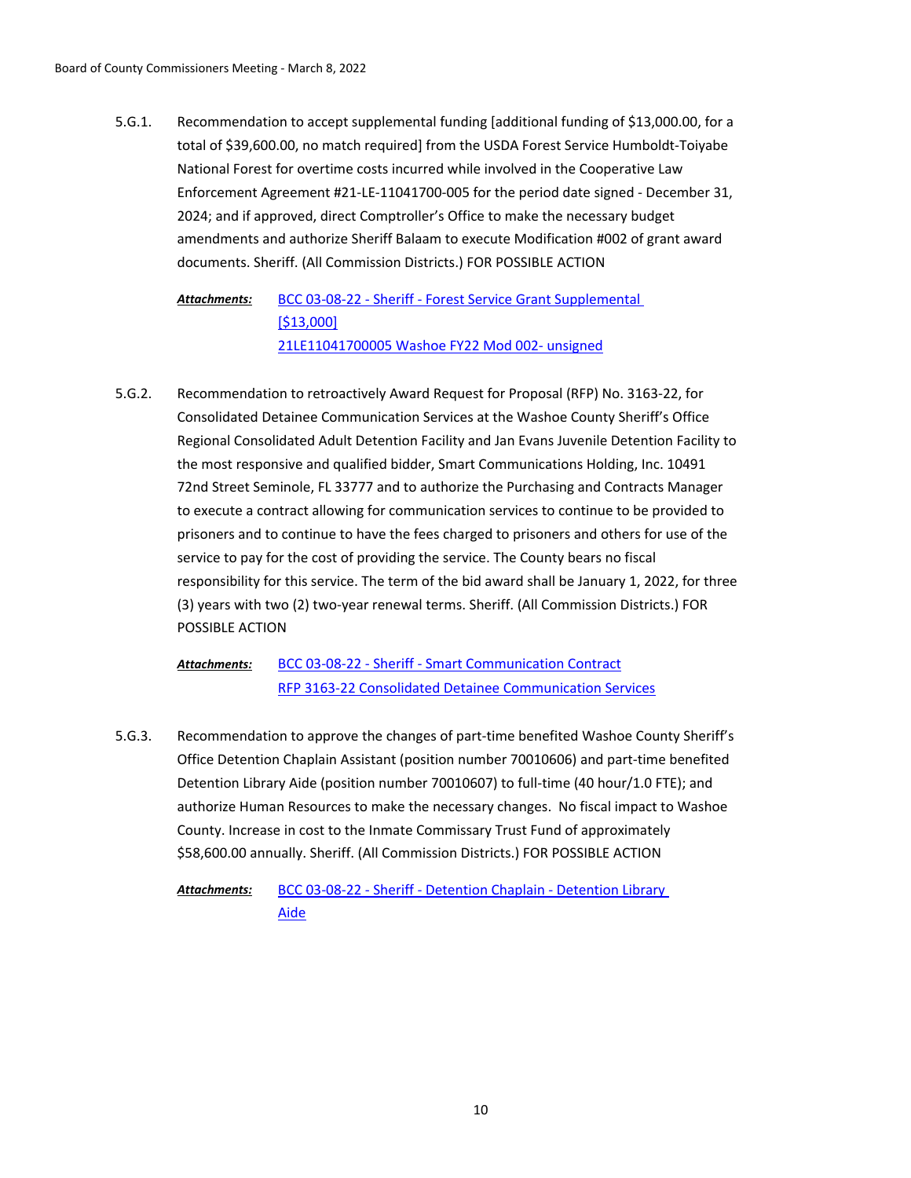Recommendation to accept supplemental funding [additional funding of \$13,000.00, for a total of \$39,600.00, no match required] from the USDA Forest Service Humboldt-Toiyabe National Forest for overtime costs incurred while involved in the Cooperative Law Enforcement Agreement #21-LE-11041700-005 for the period date signed - December 31, 2024; and if approved, direct Comptroller's Office to make the necessary budget amendments and authorize Sheriff Balaam to execute Modification #002 of grant award documents. Sheriff. (All Commission Districts.) FOR POSSIBLE ACTION 5.G.1.

[BCC 03-08-22 - Sheriff - Forest Service Grant Supplemental](http://washoe-nv.legistar.com/gateway.aspx?M=F&ID=300212ce-41f2-4ec0-9914-3d634a1d9683.doc)  [\$13,000] [21LE11041700005 Washoe FY22 Mod 002- unsigned](http://washoe-nv.legistar.com/gateway.aspx?M=F&ID=436fa275-2e72-480b-8b9f-6561afdd79b2.pdf) *Attachments:*

Recommendation to retroactively Award Request for Proposal (RFP) No. 3163-22, for Consolidated Detainee Communication Services at the Washoe County Sheriff's Office Regional Consolidated Adult Detention Facility and Jan Evans Juvenile Detention Facility to the most responsive and qualified bidder, Smart Communications Holding, Inc. 10491 72nd Street Seminole, FL 33777 and to authorize the Purchasing and Contracts Manager to execute a contract allowing for communication services to continue to be provided to prisoners and to continue to have the fees charged to prisoners and others for use of the service to pay for the cost of providing the service. The County bears no fiscal responsibility for this service. The term of the bid award shall be January 1, 2022, for three (3) years with two (2) two-year renewal terms. Sheriff. (All Commission Districts.) FOR POSSIBLE ACTION 5.G.2.

[BCC 03-08-22 - Sheriff - Smart Communication Contract](http://washoe-nv.legistar.com/gateway.aspx?M=F&ID=7924274d-51af-4047-b72a-d0ea472cd3a7.docx) [RFP 3163-22 Consolidated Detainee Communication Services](http://washoe-nv.legistar.com/gateway.aspx?M=F&ID=48475150-1504-4c39-90be-3b4b5d066f83.pdf) *Attachments:*

Recommendation to approve the changes of part-time benefited Washoe County Sheriff's Office Detention Chaplain Assistant (position number 70010606) and part-time benefited Detention Library Aide (position number 70010607) to full-time (40 hour/1.0 FTE); and authorize Human Resources to make the necessary changes. No fiscal impact to Washoe County. Increase in cost to the Inmate Commissary Trust Fund of approximately \$58,600.00 annually. Sheriff. (All Commission Districts.) FOR POSSIBLE ACTION 5.G.3.

[BCC 03-08-22 - Sheriff - Detention Chaplain - Detention Library](http://washoe-nv.legistar.com/gateway.aspx?M=F&ID=ad44d966-4398-4b93-b45b-4b5d9c5baa4f.doc)  Aide *Attachments:*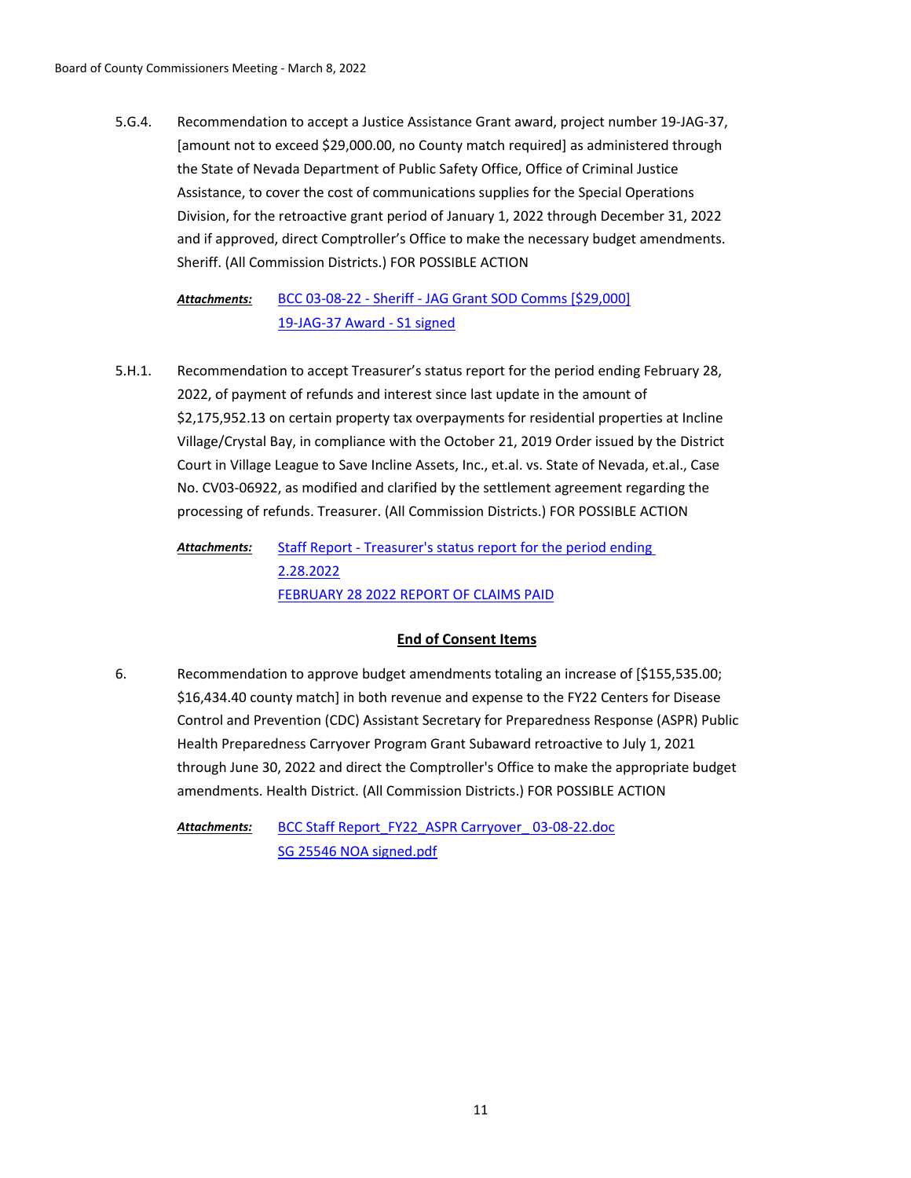Recommendation to accept a Justice Assistance Grant award, project number 19-JAG-37, [amount not to exceed \$29,000.00, no County match required] as administered through the State of Nevada Department of Public Safety Office, Office of Criminal Justice Assistance, to cover the cost of communications supplies for the Special Operations Division, for the retroactive grant period of January 1, 2022 through December 31, 2022 and if approved, direct Comptroller's Office to make the necessary budget amendments. Sheriff. (All Commission Districts.) FOR POSSIBLE ACTION 5.G.4.

[BCC 03-08-22 - Sheriff - JAG Grant SOD Comms \[\\$29,000\]](http://washoe-nv.legistar.com/gateway.aspx?M=F&ID=7f8217e4-d646-4214-b946-d5f4c516102e.doc) [19-JAG-37 Award - S1 signed](http://washoe-nv.legistar.com/gateway.aspx?M=F&ID=a12ba0db-5741-4c98-ba7c-1e7312de9501.pdf) *Attachments:*

Recommendation to accept Treasurer's status report for the period ending February 28, 2022, of payment of refunds and interest since last update in the amount of \$2,175,952.13 on certain property tax overpayments for residential properties at Incline Village/Crystal Bay, in compliance with the October 21, 2019 Order issued by the District Court in Village League to Save Incline Assets, Inc., et.al. vs. State of Nevada, et.al., Case No. CV03-06922, as modified and clarified by the settlement agreement regarding the processing of refunds. Treasurer. (All Commission Districts.) FOR POSSIBLE ACTION 5.H.1.

[Staff Report - Treasurer's status report for the period ending](http://washoe-nv.legistar.com/gateway.aspx?M=F&ID=a6794f3c-93d1-4694-b155-6f28b72b40cd.doc)  2.28.2022 [FEBRUARY 28 2022 REPORT OF CLAIMS PAID](http://washoe-nv.legistar.com/gateway.aspx?M=F&ID=fa2630bd-14af-4b10-94e3-68900fadc516.pdf) *Attachments:*

# **End of Consent Items**

Recommendation to approve budget amendments totaling an increase of [\$155,535.00; \$16,434.40 county match] in both revenue and expense to the FY22 Centers for Disease Control and Prevention (CDC) Assistant Secretary for Preparedness Response (ASPR) Public Health Preparedness Carryover Program Grant Subaward retroactive to July 1, 2021 through June 30, 2022 and direct the Comptroller's Office to make the appropriate budget amendments. Health District. (All Commission Districts.) FOR POSSIBLE ACTION 6.

BCC Staff Report\_FY22\_ASPR Carryover\_03-08-22.doc [SG 25546 NOA signed.pdf](http://washoe-nv.legistar.com/gateway.aspx?M=F&ID=6c486cbd-0b7d-4e57-8ece-a98afb649773.pdf) *Attachments:*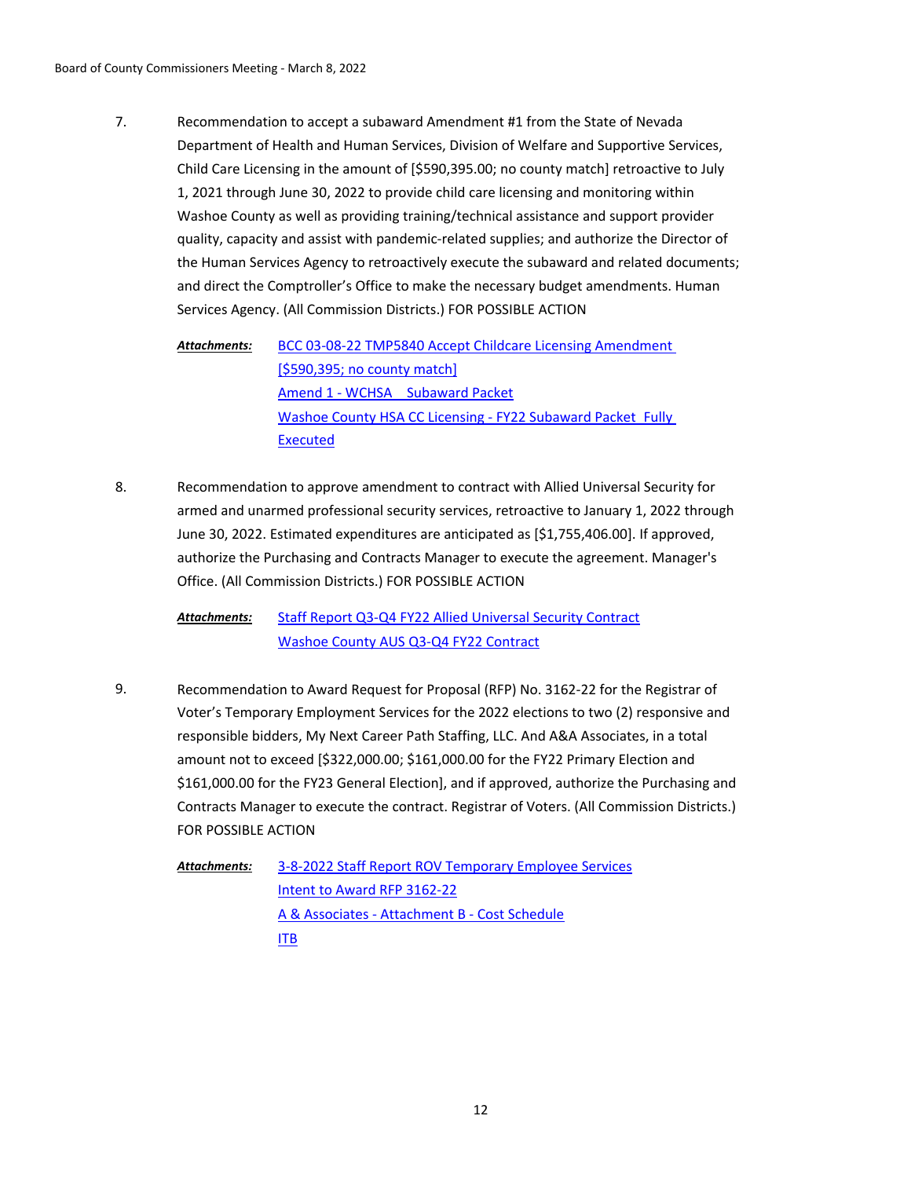Recommendation to accept a subaward Amendment #1 from the State of Nevada Department of Health and Human Services, Division of Welfare and Supportive Services, Child Care Licensing in the amount of [\$590,395.00; no county match] retroactive to July 1, 2021 through June 30, 2022 to provide child care licensing and monitoring within Washoe County as well as providing training/technical assistance and support provider quality, capacity and assist with pandemic-related supplies; and authorize the Director of the Human Services Agency to retroactively execute the subaward and related documents; and direct the Comptroller's Office to make the necessary budget amendments. Human Services Agency. (All Commission Districts.) FOR POSSIBLE ACTION 7.

[BCC 03-08-22 TMP5840 Accept Childcare Licensing Amendment](http://washoe-nv.legistar.com/gateway.aspx?M=F&ID=9bded0d8-ea7d-4fae-b81f-83ea30de5100.doc)  [\$590,395; no county match] [Amend 1 - WCHSA \\_ Subaward Packet](http://washoe-nv.legistar.com/gateway.aspx?M=F&ID=033fa46a-6d8e-468a-bade-318ca41a8936.pdf) [Washoe County HSA CC Licensing - FY22 Subaward Packet\\_Fully](http://washoe-nv.legistar.com/gateway.aspx?M=F&ID=299dac02-e860-400b-9205-e70c2cac276f.pdf)  Executed *Attachments:*

Recommendation to approve amendment to contract with Allied Universal Security for armed and unarmed professional security services, retroactive to January 1, 2022 through June 30, 2022. Estimated expenditures are anticipated as [\$1,755,406.00]. If approved, authorize the Purchasing and Contracts Manager to execute the agreement. Manager's Office. (All Commission Districts.) FOR POSSIBLE ACTION 8.

[Staff Report Q3-Q4 FY22 Allied Universal Security Contract](http://washoe-nv.legistar.com/gateway.aspx?M=F&ID=9c58d169-f887-485e-9d35-9ff3a1abdc58.docx) [Washoe County AUS Q3-Q4 FY22 Contract](http://washoe-nv.legistar.com/gateway.aspx?M=F&ID=126397fa-d076-4bfc-b4af-76410bf2809f.pdf) *Attachments:*

Recommendation to Award Request for Proposal (RFP) No. 3162-22 for the Registrar of Voter's Temporary Employment Services for the 2022 elections to two (2) responsive and responsible bidders, My Next Career Path Staffing, LLC. And A&A Associates, in a total amount not to exceed [\$322,000.00; \$161,000.00 for the FY22 Primary Election and \$161,000.00 for the FY23 General Election], and if approved, authorize the Purchasing and Contracts Manager to execute the contract. Registrar of Voters. (All Commission Districts.) FOR POSSIBLE ACTION 9.

[3-8-2022 Staff Report ROV Temporary Employee Services](http://washoe-nv.legistar.com/gateway.aspx?M=F&ID=38a3af11-3ec8-4b6b-ace6-e082dec17a1a.doc) [Intent to Award RFP 3162-22](http://washoe-nv.legistar.com/gateway.aspx?M=F&ID=fe0d0f22-f661-4f04-985b-66aaaedc0717.docx) [A & Associates - Attachment B - Cost Schedule](http://washoe-nv.legistar.com/gateway.aspx?M=F&ID=e2318ee5-3165-4101-a5e3-539f3bc38e9d.PDF) [ITB](http://washoe-nv.legistar.com/gateway.aspx?M=F&ID=fe378fff-2a4d-45f7-b841-c38b94198681.PDF) *Attachments:*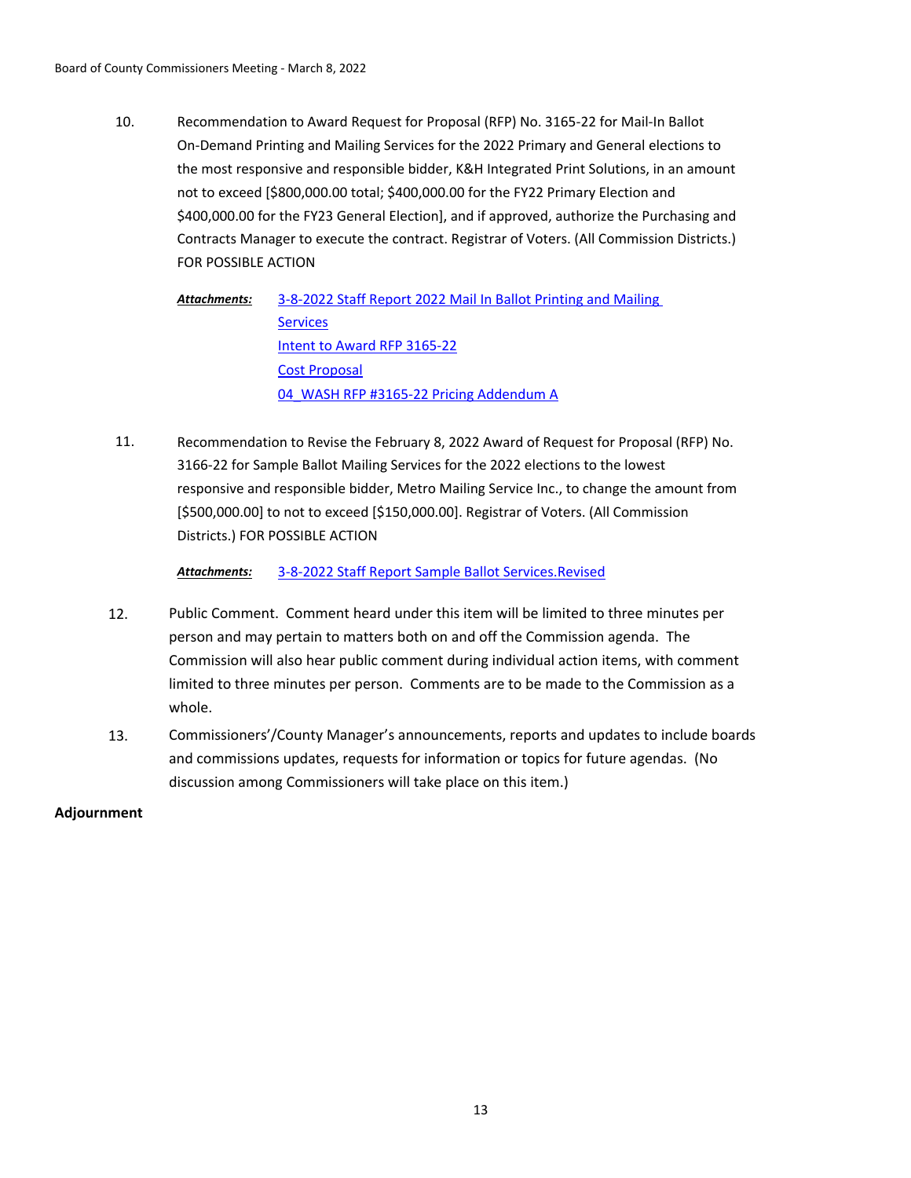Recommendation to Award Request for Proposal (RFP) No. 3165-22 for Mail-In Ballot On-Demand Printing and Mailing Services for the 2022 Primary and General elections to the most responsive and responsible bidder, K&H Integrated Print Solutions, in an amount not to exceed [\$800,000.00 total; \$400,000.00 for the FY22 Primary Election and \$400,000.00 for the FY23 General Election], and if approved, authorize the Purchasing and Contracts Manager to execute the contract. Registrar of Voters. (All Commission Districts.) FOR POSSIBLE ACTION 10.

[3-8-2022 Staff Report 2022 Mail In Ballot Printing and Mailing](http://washoe-nv.legistar.com/gateway.aspx?M=F&ID=23753420-b7d4-47d3-beb0-368b4b5eb284.doc)  **Services** [Intent to Award RFP 3165-22](http://washoe-nv.legistar.com/gateway.aspx?M=F&ID=969dc26b-a0f3-4843-9e30-058f5c3e5802.docx) [Cost Proposal](http://washoe-nv.legistar.com/gateway.aspx?M=F&ID=8afa9425-9b99-45aa-90ec-f1623245e3d4.PDF) [04\\_WASH RFP #3165-22 Pricing Addendum A](http://washoe-nv.legistar.com/gateway.aspx?M=F&ID=416a2ed7-46a4-4f8e-a0f4-d733acddf8ce.PDF) *Attachments:*

Recommendation to Revise the February 8, 2022 Award of Request for Proposal (RFP) No. 3166-22 for Sample Ballot Mailing Services for the 2022 elections to the lowest responsive and responsible bidder, Metro Mailing Service Inc., to change the amount from [\$500,000.00] to not to exceed [\$150,000.00]. Registrar of Voters. (All Commission Districts.) FOR POSSIBLE ACTION 11.

*Attachments:* [3-8-2022 Staff Report Sample Ballot Services.Revised](http://washoe-nv.legistar.com/gateway.aspx?M=F&ID=7ec4dab4-2e47-4870-a35f-927922c4b359.doc)

- 12. Public Comment. Comment heard under this item will be limited to three minutes per person and may pertain to matters both on and off the Commission agenda. The Commission will also hear public comment during individual action items, with comment limited to three minutes per person. Comments are to be made to the Commission as a whole.
- 13. Commissioners'/County Manager's announcements, reports and updates to include boards and commissions updates, requests for information or topics for future agendas. (No discussion among Commissioners will take place on this item.)

# **Adjournment**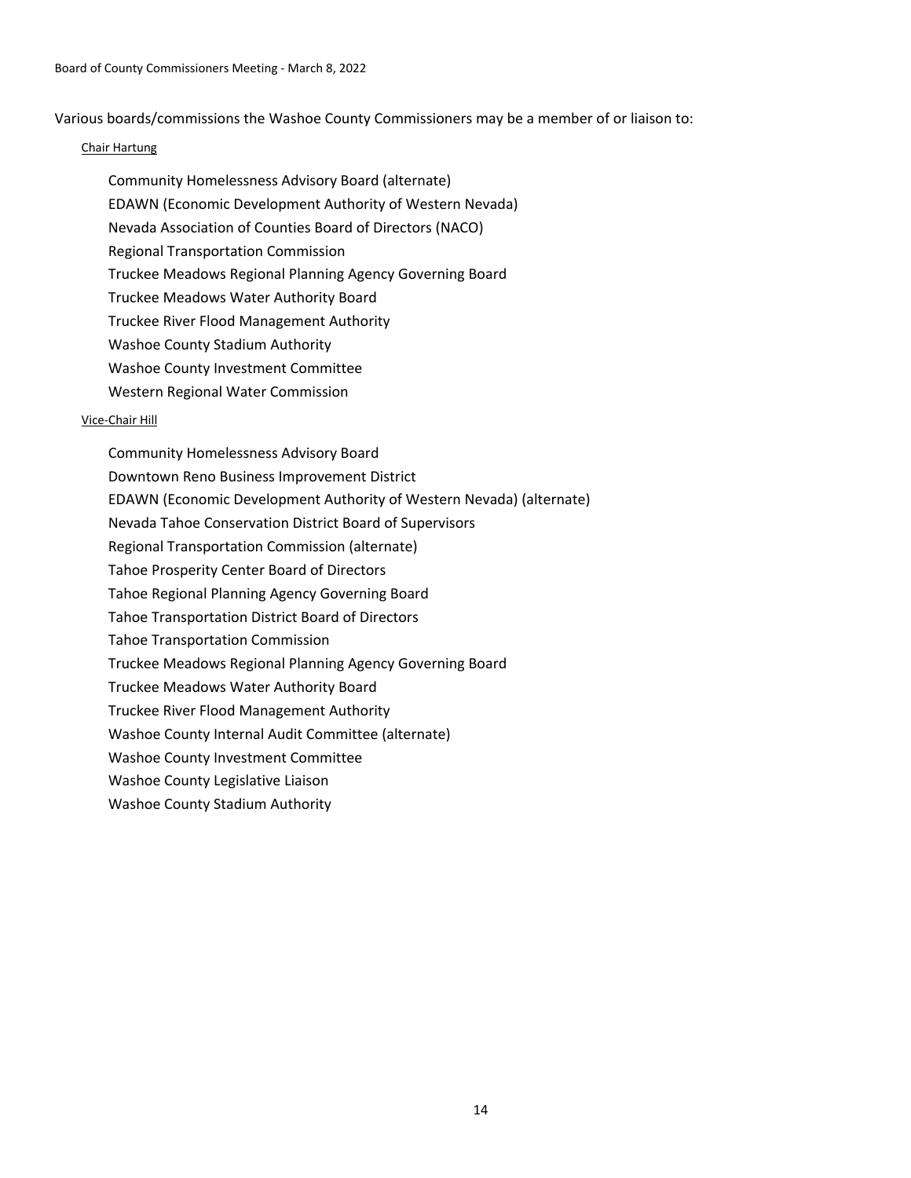Various boards/commissions the Washoe County Commissioners may be a member of or liaison to:

## Chair Hartung

Community Homelessness Advisory Board (alternate) EDAWN (Economic Development Authority of Western Nevada) Nevada Association of Counties Board of Directors (NACO) Regional Transportation Commission Truckee Meadows Regional Planning Agency Governing Board Truckee Meadows Water Authority Board Truckee River Flood Management Authority Washoe County Stadium Authority Washoe County Investment Committee Western Regional Water Commission

## Vice-Chair Hill

Community Homelessness Advisory Board Downtown Reno Business Improvement District EDAWN (Economic Development Authority of Western Nevada) (alternate) Nevada Tahoe Conservation District Board of Supervisors Regional Transportation Commission (alternate) Tahoe Prosperity Center Board of Directors Tahoe Regional Planning Agency Governing Board Tahoe Transportation District Board of Directors Tahoe Transportation Commission Truckee Meadows Regional Planning Agency Governing Board Truckee Meadows Water Authority Board Truckee River Flood Management Authority Washoe County Internal Audit Committee (alternate) Washoe County Investment Committee Washoe County Legislative Liaison Washoe County Stadium Authority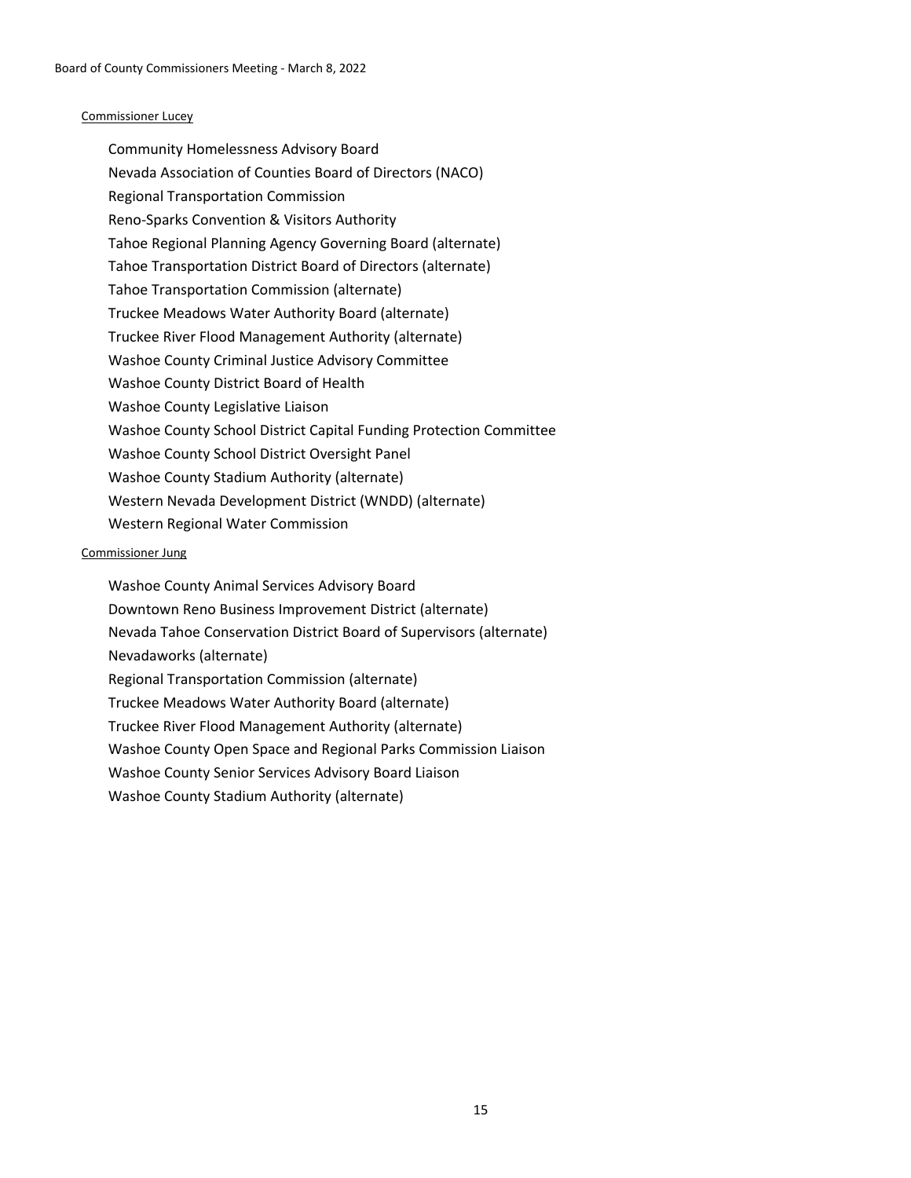### Commissioner Lucey

Community Homelessness Advisory Board Nevada Association of Counties Board of Directors (NACO) Regional Transportation Commission Reno-Sparks Convention & Visitors Authority Tahoe Regional Planning Agency Governing Board (alternate) Tahoe Transportation District Board of Directors (alternate) Tahoe Transportation Commission (alternate) Truckee Meadows Water Authority Board (alternate) Truckee River Flood Management Authority (alternate) Washoe County Criminal Justice Advisory Committee Washoe County District Board of Health Washoe County Legislative Liaison Washoe County School District Capital Funding Protection Committee Washoe County School District Oversight Panel Washoe County Stadium Authority (alternate) Western Nevada Development District (WNDD) (alternate) Western Regional Water Commission

#### Commissioner Jung

Washoe County Animal Services Advisory Board Downtown Reno Business Improvement District (alternate) Nevada Tahoe Conservation District Board of Supervisors (alternate) Nevadaworks (alternate) Regional Transportation Commission (alternate) Truckee Meadows Water Authority Board (alternate) Truckee River Flood Management Authority (alternate) Washoe County Open Space and Regional Parks Commission Liaison Washoe County Senior Services Advisory Board Liaison Washoe County Stadium Authority (alternate)